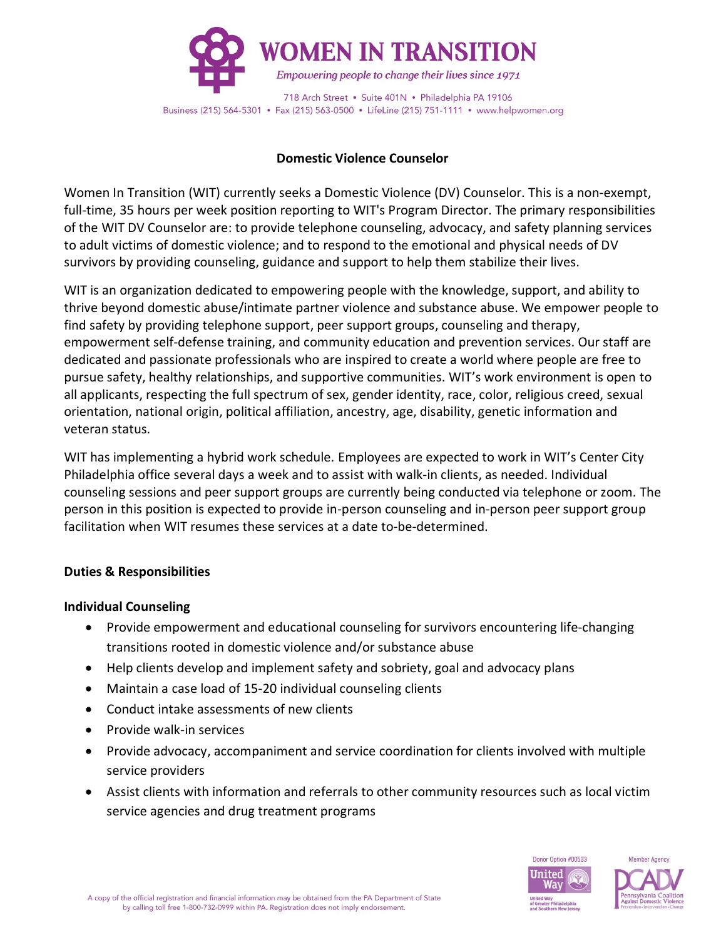

### **Domestic Violence Counselor**

Women In Transition (WIT) currently seeks a Domestic Violence (DV) Counselor. This is a non-exempt, full-time, 35 hours per week position reporting to WIT's Program Director. The primary responsibilities of the WIT DV Counselor are: to provide telephone counseling, advocacy, and safety planning services to adult victims of domestic violence; and to respond to the emotional and physical needs of DV survivors by providing counseling, guidance and support to help them stabilize their lives.

WIT is an organization dedicated to empowering people with the knowledge, support, and ability to thrive beyond domestic abuse/intimate partner violence and substance abuse. We empower people to find safety by providing telephone support, peer support groups, counseling and therapy, empowerment self-defense training, and community education and prevention services. Our staff are dedicated and passionate professionals who are inspired to create a world where people are free to pursue safety, healthy relationships, and supportive communities. WIT's work environment is open to all applicants, respecting the full spectrum of sex, gender identity, race, color, religious creed, sexual orientation, national origin, political affiliation, ancestry, age, disability, genetic information and veteran status.

WIT has implementing a hybrid work schedule. Employees are expected to work in WIT's Center City Philadelphia office several days a week and to assist with walk-in clients, as needed. Individual counseling sessions and peer support groups are currently being conducted via telephone or zoom. The person in this position is expected to provide in-person counseling and in-person peer support group facilitation when WIT resumes these services at a date to-be-determined.

# **Duties & Responsibilities**

# **Individual Counseling**

- Provide empowerment and educational counseling for survivors encountering life-changing transitions rooted in domestic violence and/or substance abuse
- Help clients develop and implement safety and sobriety, goal and advocacy plans
- Maintain a case load of 15-20 individual counseling clients
- Conduct intake assessments of new clients
- Provide walk-in services
- Provide advocacy, accompaniment and service coordination for clients involved with multiple service providers
- Assist clients with information and referrals to other community resources such as local victim service agencies and drug treatment programs

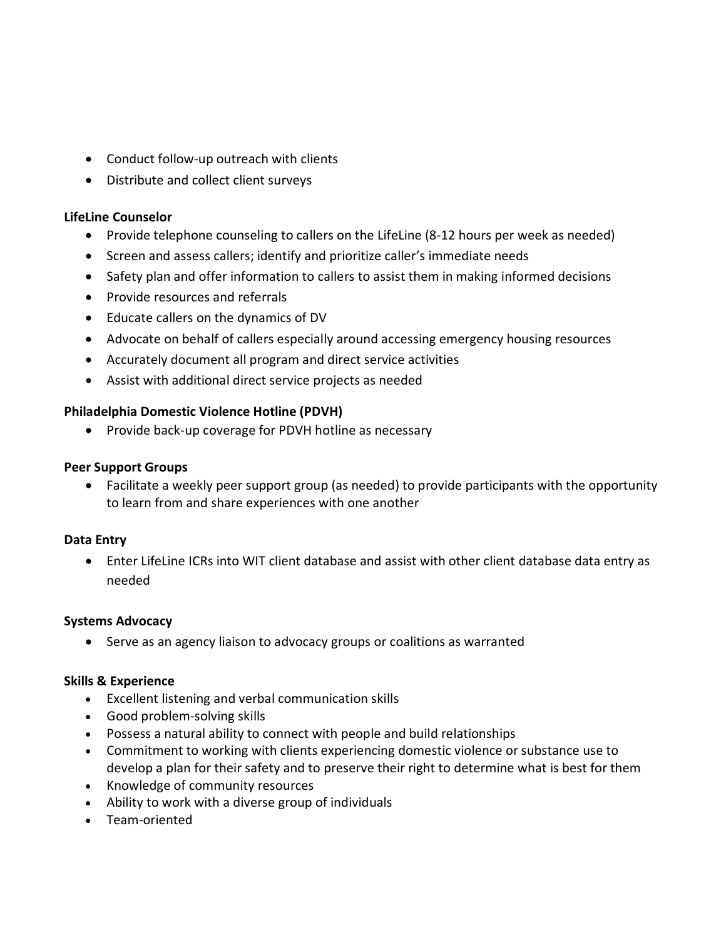- Conduct follow-up outreach with clients
- Distribute and collect client surveys

### **LifeLine Counselor**

- Provide telephone counseling to callers on the LifeLine (8-12 hours per week as needed)
- Screen and assess callers; identify and prioritize caller's immediate needs
- Safety plan and offer information to callers to assist them in making informed decisions
- Provide resources and referrals
- Educate callers on the dynamics of DV
- Advocate on behalf of callers especially around accessing emergency housing resources
- Accurately document all program and direct service activities
- Assist with additional direct service projects as needed

# **Philadelphia Domestic Violence Hotline (PDVH)**

• Provide back-up coverage for PDVH hotline as necessary

### **Peer Support Groups**

• Facilitate a weekly peer support group (as needed) to provide participants with the opportunity to learn from and share experiences with one another

# **Data Entry**

• Enter LifeLine ICRs into WIT client database and assist with other client database data entry as needed

# **Systems Advocacy**

• Serve as an agency liaison to advocacy groups or coalitions as warranted

# **Skills & Experience**

- Excellent listening and verbal communication skills
- Good problem-solving skills
- Possess a natural ability to connect with people and build relationships
- Commitment to working with clients experiencing domestic violence or substance use to develop a plan for their safety and to preserve their right to determine what is best for them
- Knowledge of community resources
- Ability to work with a diverse group of individuals
- Team-oriented